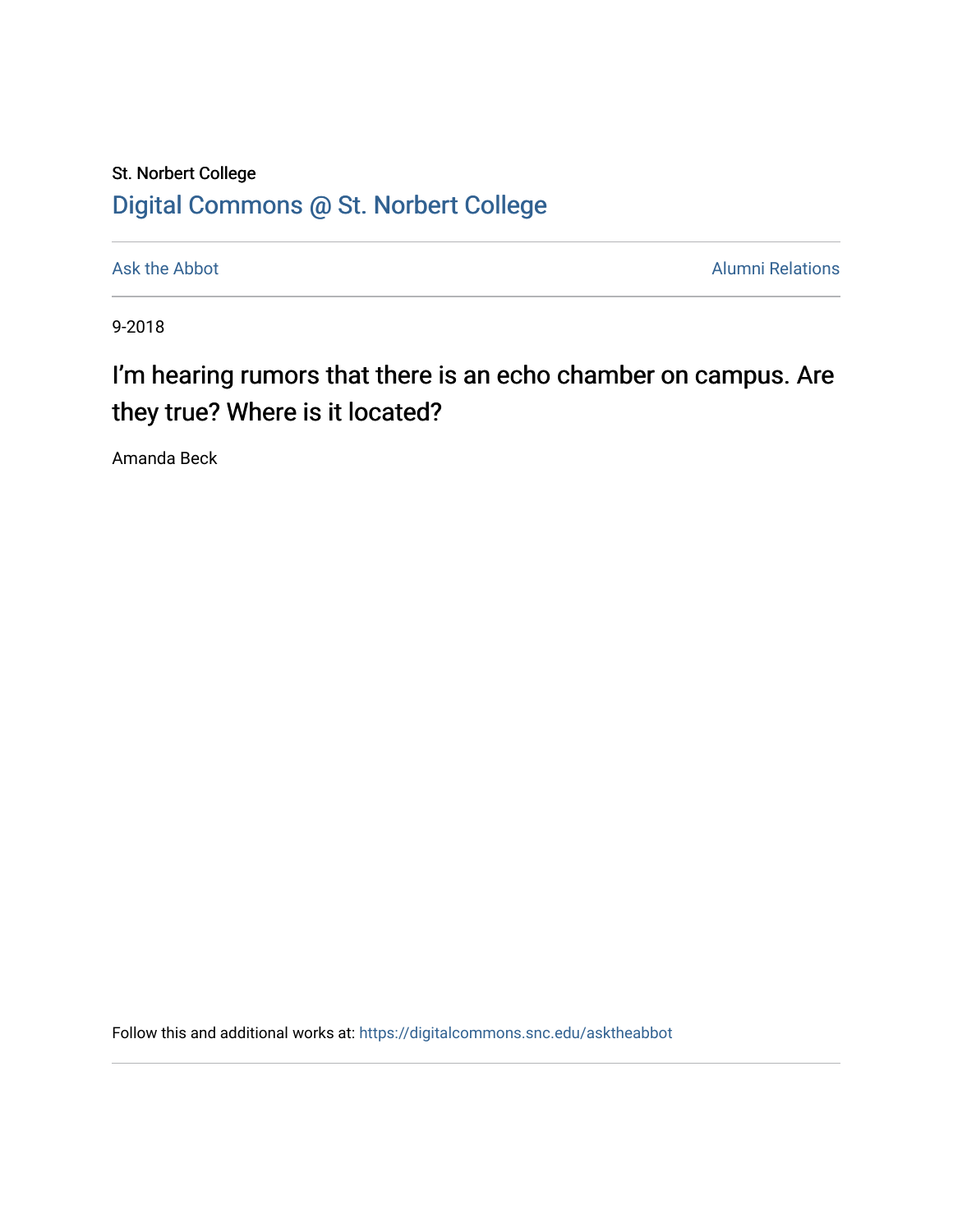# St. Norbert College [Digital Commons @ St. Norbert College](https://digitalcommons.snc.edu/)

[Ask the Abbot](https://digitalcommons.snc.edu/asktheabbot) **Alumni Relations** 

9-2018

# I'm hearing rumors that there is an echo chamber on campus. Are they true? Where is it located?

Amanda Beck

Follow this and additional works at: [https://digitalcommons.snc.edu/asktheabbot](https://digitalcommons.snc.edu/asktheabbot?utm_source=digitalcommons.snc.edu%2Fasktheabbot%2F108&utm_medium=PDF&utm_campaign=PDFCoverPages)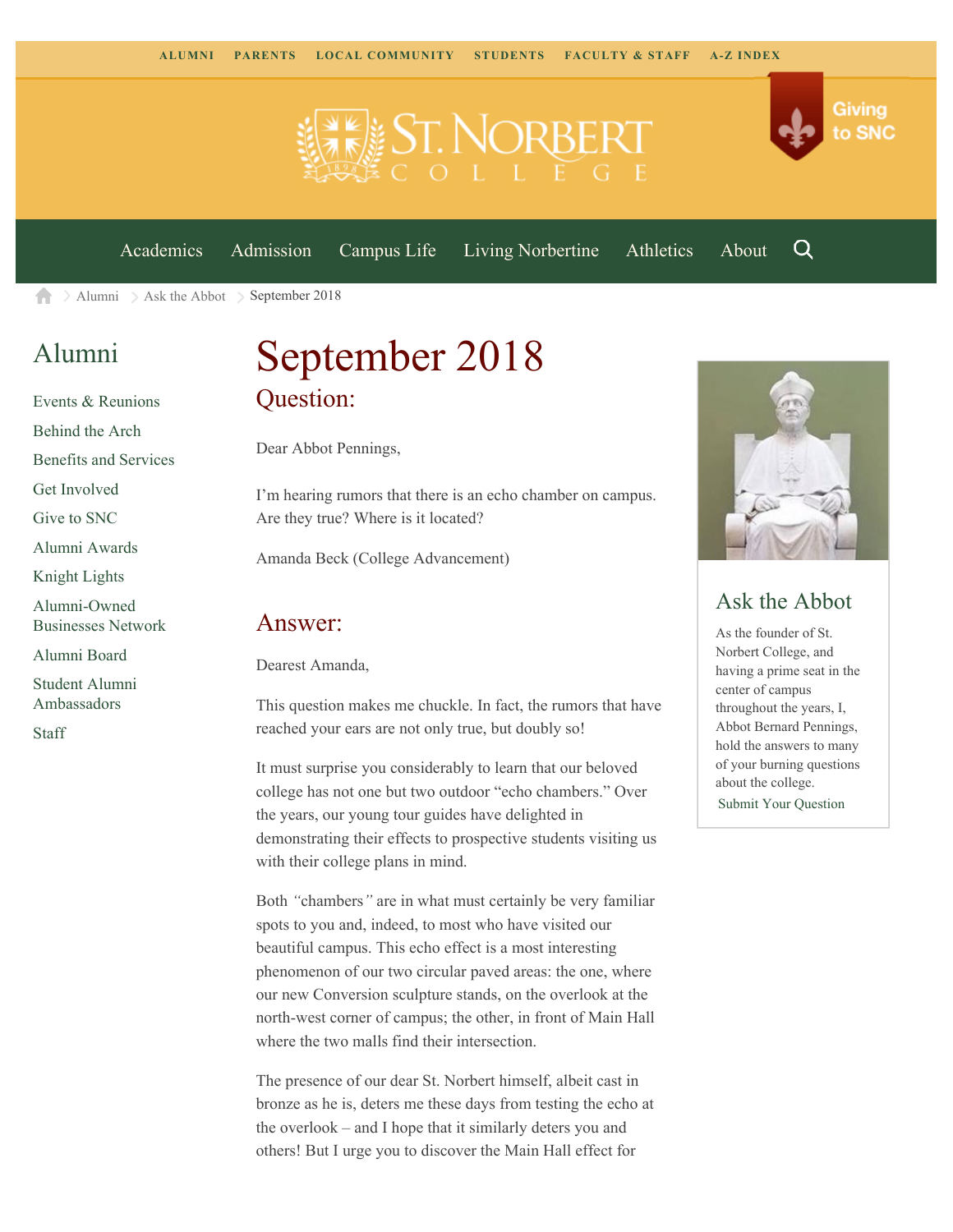

[Academics](https://www.snc.edu/academics) [Admission](https://www.snc.edu/admission) [Campus Life](https://www.snc.edu/campuslife) [Living Norbertine](https://www.snc.edu/livingnorbertine) [Athletics](https://www.snc.edu/athletics) [About](https://www.snc.edu/about)

Q

Giving

to SNC

[Alumni](https://www.snc.edu/alumni/) [Ask the Abbot](https://www.snc.edu/alumni/abbot/) September 2018 A

## [Alumni](https://www.snc.edu/alumni/index.html)

[Events & Reunions](https://www.snc.edu/alumni/event/index.html) [Behind the Arch](https://www.snc.edu/alumni/event/behindthearch/) [Benefits and Services](https://www.snc.edu/alumni/benefits.html) [Get Involved](https://www.snc.edu/alumni/getinvolved.html) [Give to SNC](http://giving.snc.edu/) [Alumni Awards](https://www.snc.edu/alumni/awards/index.html) [Knight Lights](https://www.snc.edu/alumni/knightlights/index.html) [Alumni-Owned](https://www.snc.edu/alumni/directory/index.html) [Businesses Network](https://www.snc.edu/alumni/directory/index.html) [Alumni Board](https://www.snc.edu/alumni/alumniboard.html) [Student Alumni](https://www.snc.edu/alumni/saa.html) [Ambassadors](https://www.snc.edu/alumni/saa.html) [Staff](https://www.snc.edu/alumni/contactus.html)

# September 2018 Question:

Dear Abbot Pennings,

I'm hearing rumors that there is an echo chamber on campus. Are they true? Where is it located?

Amanda Beck (College Advancement)

#### Answer:

Dearest Amanda,

This question makes me chuckle. In fact, the rumors that have reached your ears are not only true, but doubly so!

It must surprise you considerably to learn that our beloved college has not one but two outdoor "echo chambers." Over the years, our young tour guides have delighted in demonstrating their effects to prospective students visiting us with their college plans in mind.

Both *"*chambers*"* are in what must certainly be very familiar spots to you and, indeed, to most who have visited our beautiful campus. This echo effect is a most interesting phenomenon of our two circular paved areas: the one, where our new Conversion sculpture stands, on the overlook at the north-west corner of campus; the other, in front of Main Hall where the two malls find their intersection.

The presence of our dear St. Norbert himself, albeit cast in bronze as he is, deters me these days from testing the echo at the overlook – and I hope that it similarly deters you and others! But I urge you to discover the Main Hall effect for



#### Ask the Abbot

As the founder of St. Norbert College, and having a prime seat in the center of campus throughout the years, I, Abbot Bernard Pennings, hold the answers to many of your burning questions about the college. [Submit Your Question](https://www.snc.edu/alumni/abbot/index.html)